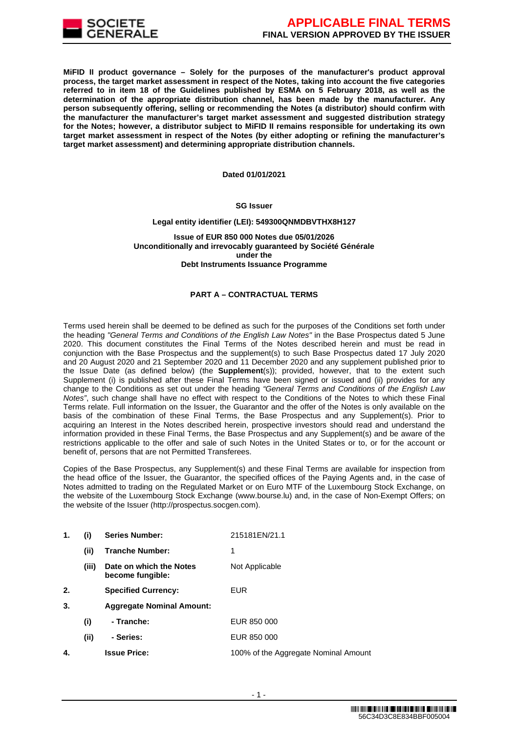

**MiFID II product governance – Solely for the purposes of the manufacturer's product approval process, the target market assessment in respect of the Notes, taking into account the five categories referred to in item 18 of the Guidelines published by ESMA on 5 February 2018, as well as the determination of the appropriate distribution channel, has been made by the manufacturer. Any person subsequently offering, selling or recommending the Notes (a distributor) should confirm with the manufacturer the manufacturer's target market assessment and suggested distribution strategy for the Notes; however, a distributor subject to MiFID II remains responsible for undertaking its own target market assessment in respect of the Notes (by either adopting or refining the manufacturer's target market assessment) and determining appropriate distribution channels.**

#### **Dated 01/01/2021**

### **SG Issuer**

#### **Legal entity identifier (LEI): 549300QNMDBVTHX8H127**

**Issue of EUR 850 000 Notes due 05/01/2026 Unconditionally and irrevocably guaranteed by Société Générale under the Debt Instruments Issuance Programme**

#### **PART A – CONTRACTUAL TERMS**

Terms used herein shall be deemed to be defined as such for the purposes of the Conditions set forth under the heading *"General Terms and Conditions of the English Law Notes"* in the Base Prospectus dated 5 June 2020. This document constitutes the Final Terms of the Notes described herein and must be read in conjunction with the Base Prospectus and the supplement(s) to such Base Prospectus dated 17 July 2020 and 20 August 2020 and 21 September 2020 and 11 December 2020 and any supplement published prior to the Issue Date (as defined below) (the **Supplement**(s)); provided, however, that to the extent such Supplement (i) is published after these Final Terms have been signed or issued and (ii) provides for any change to the Conditions as set out under the heading *"General Terms and Conditions of the English Law Notes"*, such change shall have no effect with respect to the Conditions of the Notes to which these Final Terms relate. Full information on the Issuer, the Guarantor and the offer of the Notes is only available on the basis of the combination of these Final Terms, the Base Prospectus and any Supplement(s). Prior to acquiring an Interest in the Notes described herein, prospective investors should read and understand the information provided in these Final Terms, the Base Prospectus and any Supplement(s) and be aware of the restrictions applicable to the offer and sale of such Notes in the United States or to, or for the account or benefit of, persons that are not Permitted Transferees.

Copies of the Base Prospectus, any Supplement(s) and these Final Terms are available for inspection from the head office of the Issuer, the Guarantor, the specified offices of the Paying Agents and, in the case of Notes admitted to trading on the Regulated Market or on Euro MTF of the Luxembourg Stock Exchange, on the website of the Luxembourg Stock Exchange (www.bourse.lu) and, in the case of Non-Exempt Offers; on the website of the Issuer (http://prospectus.socgen.com).

| 1. | (i)   | <b>Series Number:</b>                       | 215181EN/21.1                        |
|----|-------|---------------------------------------------|--------------------------------------|
|    | (i)   | <b>Tranche Number:</b>                      | 1                                    |
|    | (iii) | Date on which the Notes<br>become fungible: | Not Applicable                       |
| 2. |       | <b>Specified Currency:</b>                  | EUR.                                 |
| 3. |       | <b>Aggregate Nominal Amount:</b>            |                                      |
|    | (i)   | - Tranche:                                  | EUR 850 000                          |
|    | (i)   | - Series:                                   | EUR 850 000                          |
| 4. |       | <b>Issue Price:</b>                         | 100% of the Aggregate Nominal Amount |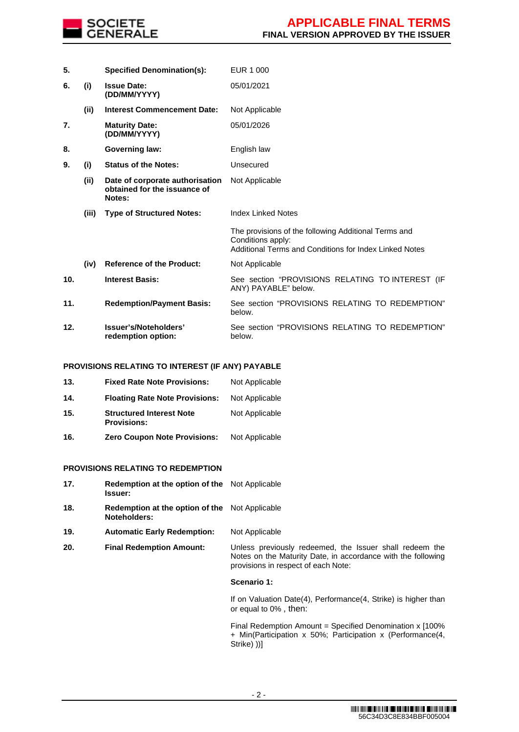

**5. Specified Denomination(s):** EUR 1 000 **6. (i) Issue Date: (DD/MM/YYYY)** 05/01/2021 **(ii) Interest Commencement Date:** Not Applicable **7. Maturity Date: (DD/MM/YYYY)** 05/01/2026 **8. Governing law:** English law **9. (i) Status of the Notes:** Unsecured **(ii) Date of corporate authorisation obtained for the issuance of Notes:** Not Applicable **(iii) Type of Structured Notes:** Index Linked Notes The provisions of the following Additional Terms and Conditions apply: Additional Terms and Conditions for Index Linked Notes **(iv) Reference of the Product:** Not Applicable **10. Interest Basis:** See section "PROVISIONS RELATING TO INTEREST (IF ANY) PAYABLE" below. **11. Redemption/Payment Basis:** See section "PROVISIONS RELATING TO REDEMPTION" below. **12. Issuer's/Noteholders' redemption option:** See section "PROVISIONS RELATING TO REDEMPTION" below.

#### **PROVISIONS RELATING TO INTEREST (IF ANY) PAYABLE**

| 13. | <b>Fixed Rate Note Provisions:</b>                    | Not Applicable |
|-----|-------------------------------------------------------|----------------|
| 14. | <b>Floating Rate Note Provisions:</b>                 | Not Applicable |
| 15. | <b>Structured Interest Note</b><br><b>Provisions:</b> | Not Applicable |
| 16. | <b>Zero Coupon Note Provisions:</b>                   | Not Applicable |

#### **PROVISIONS RELATING TO REDEMPTION**

| 17. | Redemption at the option of the Not Applicable<br>Issuer:             |                                                                                                                                                                |
|-----|-----------------------------------------------------------------------|----------------------------------------------------------------------------------------------------------------------------------------------------------------|
| 18. | <b>Redemption at the option of the</b> Not Applicable<br>Noteholders: |                                                                                                                                                                |
| 19. | <b>Automatic Early Redemption:</b>                                    | Not Applicable                                                                                                                                                 |
| 20. | <b>Final Redemption Amount:</b>                                       | Unless previously redeemed, the Issuer shall redeem the<br>Notes on the Maturity Date, in accordance with the following<br>provisions in respect of each Note: |
|     |                                                                       | Scenario 1:                                                                                                                                                    |
|     |                                                                       | If on Valuation Date(4), Performance(4, Strike) is higher than<br>or equal to 0%, then:                                                                        |
|     |                                                                       | Final Redemption Amount = Specified Denomination x [100%<br>+ Min(Participation x 50%; Participation x (Performance(4,<br>Strike) ))]                          |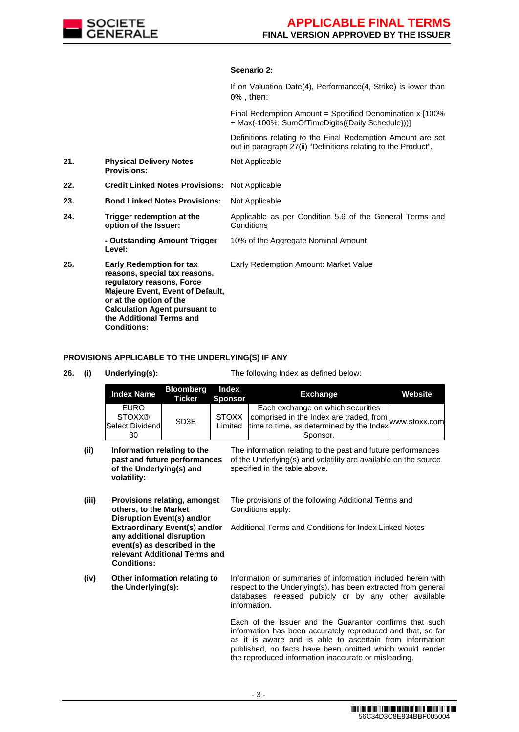

### **Scenario 2:**

If on Valuation Date(4), Performance(4, Strike) is lower than 0% , then:

Final Redemption Amount = Specified Denomination x [100% + Max(-100%; SumOfTimeDigits({Daily Schedule}))]

Definitions relating to the Final Redemption Amount are set out in paragraph 27(ii) "Definitions relating to the Product".

Applicable as per Condition 5.6 of the General Terms and

- **21. Physical Delivery Notes Provisions:** Not Applicable
- **22. Credit Linked Notes Provisions:** Not Applicable
- **23. Bond Linked Notes Provisions:** Not Applicable
- **24. Trigger redemption at the option of the Issuer:**

**Level:**

**Conditions - Outstanding Amount Trigger**  10% of the Aggregate Nominal Amount

- Early Redemption Amount: Market Value
- **25. Early Redemption for tax reasons, special tax reasons, regulatory reasons, Force Majeure Event, Event of Default, or at the option of the Calculation Agent pursuant to the Additional Terms and Conditions:**

# **PROVISIONS APPLICABLE TO THE UNDERLYING(S) IF ANY**

**26. (i) Underlying(s):** The following Index as defined below:

|       | <b>Index Name</b>                                                                                                                                                                                                                                      | <b>Bloomberg</b><br><b>Ticker</b> | <b>Index</b><br><b>Sponsor</b> | <b>Exchange</b>                                                                                                                                                                                                                                                                                        | Website |
|-------|--------------------------------------------------------------------------------------------------------------------------------------------------------------------------------------------------------------------------------------------------------|-----------------------------------|--------------------------------|--------------------------------------------------------------------------------------------------------------------------------------------------------------------------------------------------------------------------------------------------------------------------------------------------------|---------|
|       | <b>EURO</b><br><b>STOXX®</b><br>Select Dividend<br>30                                                                                                                                                                                                  | SD <sub>3</sub> E                 | <b>STOXX</b><br>Limited        | Each exchange on which securities<br>comprised in the Index are traded, from www.stoxx.com<br>time to time, as determined by the Index<br>Sponsor.                                                                                                                                                     |         |
| (ii)  | Information relating to the<br>past and future performances<br>of the Underlying(s) and<br>volatility:                                                                                                                                                 |                                   |                                | The information relating to the past and future performances<br>of the Underlying(s) and volatility are available on the source<br>specified in the table above.                                                                                                                                       |         |
| (iii) | Provisions relating, amongst<br>others, to the Market<br><b>Disruption Event(s) and/or</b><br><b>Extraordinary Event(s) and/or</b><br>any additional disruption<br>event(s) as described in the<br>relevant Additional Terms and<br><b>Conditions:</b> |                                   |                                | The provisions of the following Additional Terms and<br>Conditions apply:<br>Additional Terms and Conditions for Index Linked Notes                                                                                                                                                                    |         |
| (iv)  | Other information relating to<br>the Underlying(s):                                                                                                                                                                                                    |                                   |                                | Information or summaries of information included herein with<br>respect to the Underlying(s), has been extracted from general<br>databases released publicly or by any other available<br>information.                                                                                                 |         |
|       |                                                                                                                                                                                                                                                        |                                   |                                | Each of the Issuer and the Guarantor confirms that such<br>information has been accurately reproduced and that, so far<br>as it is aware and is able to ascertain from information<br>published, no facts have been omitted which would render<br>the reproduced information inaccurate or misleading. |         |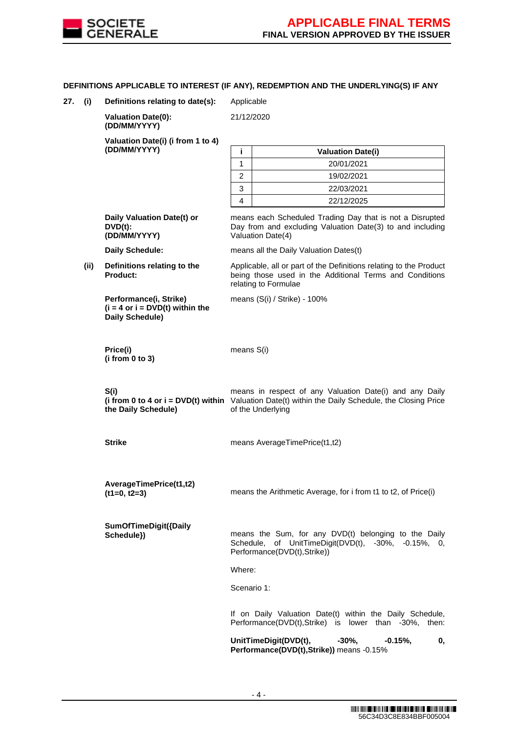

## **DEFINITIONS APPLICABLE TO INTEREST (IF ANY), REDEMPTION AND THE UNDERLYING(S) IF ANY**

**27. (i) Definitions relating to date(s):** Applicable

**(DD/MM/YYYY) i Valuation Date(i)**

**Valuation Date(0): (DD/MM/YYYY)**

**Valuation Date(i) (i from 1 to 4)**

21/12/2020

Valuation Date(4)

relating to Formulae

means (S(i) / Strike) - 100%

|   | <b>Valuation Date(i)</b> |
|---|--------------------------|
|   | 20/01/2021               |
|   | 19/02/2021               |
| ว | 22/03/2021               |
|   | 22/12/2025               |

means each Scheduled Trading Day that is not a Disrupted Day from and excluding Valuation Date(3) to and including

Applicable, all or part of the Definitions relating to the Product being those used in the Additional Terms and Conditions

**Daily Valuation Date(t) or DVD(t): (DD/MM/YYYY)**

**Daily Schedule:** means all the Daily Valuation Dates(t)

**(ii) Definitions relating to the Product:**

> **Performance(i, Strike) (i = 4 or i = DVD(t) within the Daily Schedule)**

**Price(i) (i from 0 to 3)** means S(i)

**S(i) (i from 0 to 4 or i = DVD(t) within the Daily Schedule)** means in respect of any Valuation Date(i) and any Daily Valuation Date(t) within the Daily Schedule, the Closing Price of the Underlying

**Strike means AverageTimePrice(t1,t2)** 

**AverageTimePrice(t1,t2)**

**SumOfTimeDigit({Daily** 

means the Sum, for any DVD(t) belonging to the Daily Schedule, of UnitTimeDigit(DVD(t), -30%, -0.15%, 0, Performance(DVD(t),Strike))

means the Arithmetic Average, for i from t1 to t2, of Price(i)

Where:

Scenario 1:

If on Daily Valuation Date(t) within the Daily Schedule, Performance(DVD(t),Strike) is lower than -30%, then:

UnitTimeDigit(DVD(t), -30%, -0.15%, 0, **Performance(DVD(t),Strike))** means -0.15%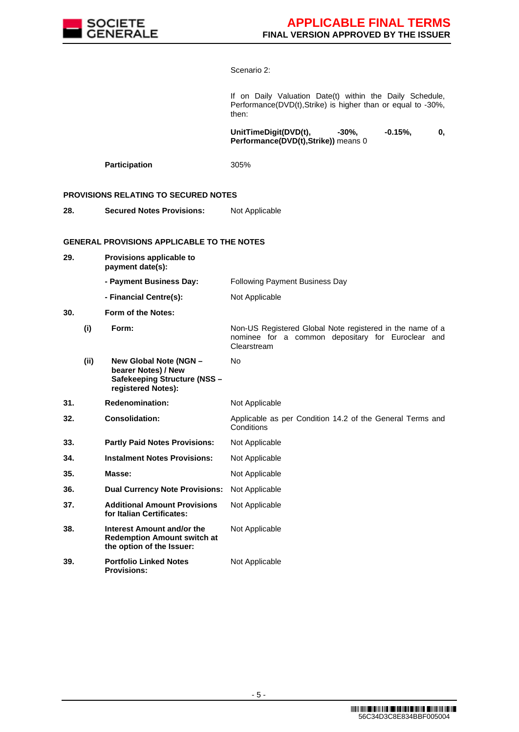

## Scenario 2:

If on Daily Valuation Date(t) within the Daily Schedule, Performance(DVD(t),Strike) is higher than or equal to -30%, then:

UnitTimeDigit(DVD(t), -30%, -0.15%, 0, **Performance(DVD(t),Strike))** means 0

Participation 305%

## **PROVISIONS RELATING TO SECURED NOTES**

**28. Secured Notes Provisions:** Not Applicable

### **GENERAL PROVISIONS APPLICABLE TO THE NOTES**

**29. Provisions applicable to payment date(s): - Payment Business Day:** Following Payment Business Day **- Financial Centre(s):** Not Applicable **30. Form of the Notes: (i) Form:** Non-US Registered Global Note registered in the name of a nominee for a common depositary for Euroclear and Clearstream **(ii) New Global Note (NGN – bearer Notes) / New Safekeeping Structure (NSS – registered Notes):** No **31. Redenomination:** Not Applicable **32. Consolidation:** Applicable as per Condition 14.2 of the General Terms and **Conditions 33. Partly Paid Notes Provisions:** Not Applicable **34. Instalment Notes Provisions:** Not Applicable **35. Masse: Masse:** Not Applicable **36. Dual Currency Note Provisions:** Not Applicable **37. Additional Amount Provisions for Italian Certificates:** Not Applicable **38. Interest Amount and/or the Redemption Amount switch at the option of the Issuer:** Not Applicable **39. Portfolio Linked Notes Provisions:** Not Applicable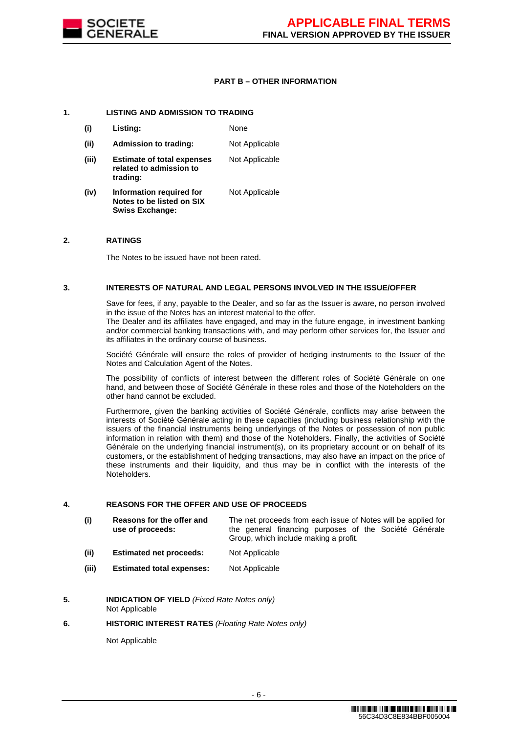

## **PART B – OTHER INFORMATION**

### **1. LISTING AND ADMISSION TO TRADING**

**Swiss Exchange:**

**(i) Listing:** None **(ii) Admission to trading:** Not Applicable **(iii) Estimate of total expenses related to admission to trading:** Not Applicable **(iv) Information required for Notes to be listed on SIX**  Not Applicable

### **2. RATINGS**

The Notes to be issued have not been rated.

#### **3. INTERESTS OF NATURAL AND LEGAL PERSONS INVOLVED IN THE ISSUE/OFFER**

Save for fees, if any, payable to the Dealer, and so far as the Issuer is aware, no person involved in the issue of the Notes has an interest material to the offer.

The Dealer and its affiliates have engaged, and may in the future engage, in investment banking and/or commercial banking transactions with, and may perform other services for, the Issuer and its affiliates in the ordinary course of business.

Société Générale will ensure the roles of provider of hedging instruments to the Issuer of the Notes and Calculation Agent of the Notes.

The possibility of conflicts of interest between the different roles of Société Générale on one hand, and between those of Société Générale in these roles and those of the Noteholders on the other hand cannot be excluded.

Furthermore, given the banking activities of Société Générale, conflicts may arise between the interests of Société Générale acting in these capacities (including business relationship with the issuers of the financial instruments being underlyings of the Notes or possession of non public information in relation with them) and those of the Noteholders. Finally, the activities of Société Générale on the underlying financial instrument(s), on its proprietary account or on behalf of its customers, or the establishment of hedging transactions, may also have an impact on the price of these instruments and their liquidity, and thus may be in conflict with the interests of the Noteholders.

### **4. REASONS FOR THE OFFER AND USE OF PROCEEDS**

| (i) | Reasons for the offer and |  | The net proceeds from each issue of Notes will be applied for |  |  |
|-----|---------------------------|--|---------------------------------------------------------------|--|--|
|     | use of proceeds:          |  | the general financing purposes of the Société Générale        |  |  |
|     |                           |  | Group, which include making a profit.                         |  |  |

- **(ii) Estimated net proceeds:** Not Applicable
- **(iii) Estimated total expenses:** Not Applicable
- **5. INDICATION OF YIELD** *(Fixed Rate Notes only)* Not Applicable

#### **6. HISTORIC INTEREST RATES** *(Floating Rate Notes only)*

Not Applicable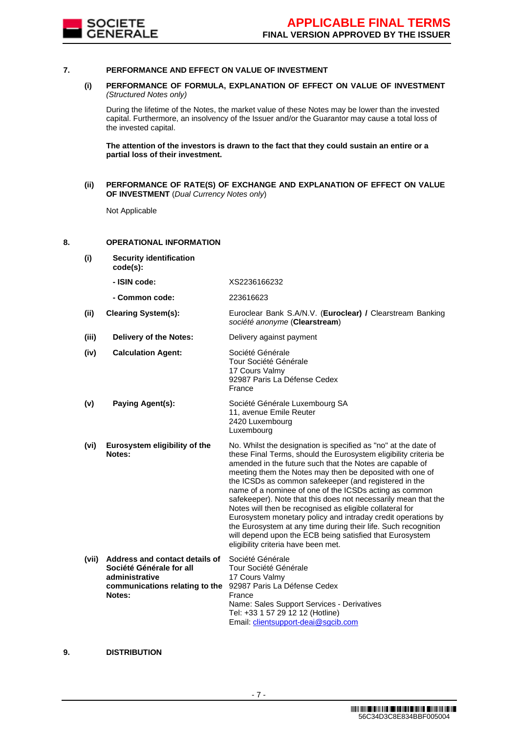

#### **7. PERFORMANCE AND EFFECT ON VALUE OF INVESTMENT**

### **(i) PERFORMANCE OF FORMULA, EXPLANATION OF EFFECT ON VALUE OF INVESTMENT**  *(Structured Notes only)*

During the lifetime of the Notes, the market value of these Notes may be lower than the invested capital. Furthermore, an insolvency of the Issuer and/or the Guarantor may cause a total loss of the invested capital.

**The attention of the investors is drawn to the fact that they could sustain an entire or a partial loss of their investment.**

**(ii) PERFORMANCE OF RATE(S) OF EXCHANGE AND EXPLANATION OF EFFECT ON VALUE OF INVESTMENT** (*Dual Currency Notes only*)

Not Applicable

#### **8. OPERATIONAL INFORMATION**

**(i) Security identification code(s): - ISIN code:** XS2236166232

**- Common code:** 223616623

**(ii) Clearing System(s):** Euroclear Bank S.A/N.V. (**Euroclear) /** Clearstream Banking *société anonyme* (**Clearstream**)

**(iii) Delivery of the Notes:** Delivery against payment

| (iv) | <b>Calculation Agent:</b>     | Société Générale<br>Tour Société Générale<br>17 Cours Valmy<br>92987 Paris La Défense Cedex<br>France |
|------|-------------------------------|-------------------------------------------------------------------------------------------------------|
| (v)  | Paying Agent(s):              | Société Générale Luxembourg SA<br>11, avenue Emile Reuter<br>2420 Luxembourg<br>Luxembourg            |
| (vi) | Eurosystem eligibility of the | No. Whilst the designation is specified                                                               |

**Notes:** as "no" at the date of these Final Terms, should the Eurosystem eligibility criteria be amended in the future such that the Notes are capable of meeting them the Notes may then be deposited with one of the ICSDs as common safekeeper (and registered in the name of a nominee of one of the ICSDs acting as common safekeeper). Note that this does not necessarily mean that the Notes will then be recognised as eligible collateral for Eurosystem monetary policy and intraday credit operations by the Eurosystem at any time during their life. Such recognition will depend upon the ECB being satisfied that Eurosystem eligibility criteria have been met.

| (vii) | Address and contact details of                              | Société Générale                           |
|-------|-------------------------------------------------------------|--------------------------------------------|
|       | Société Générale for all                                    | Tour Société Générale                      |
|       | administrative                                              | 17 Cours Valmy                             |
|       | communications relating to the 92987 Paris La Défense Cedex |                                            |
|       | Notes:                                                      | France                                     |
|       |                                                             | Name: Sales Support Services - Derivatives |
|       |                                                             | Tel: +33 1 57 29 12 12 (Hotline)           |
|       |                                                             | Email: clientsupport-deai@sgcib.com        |
|       |                                                             |                                            |

### **9. DISTRIBUTION**